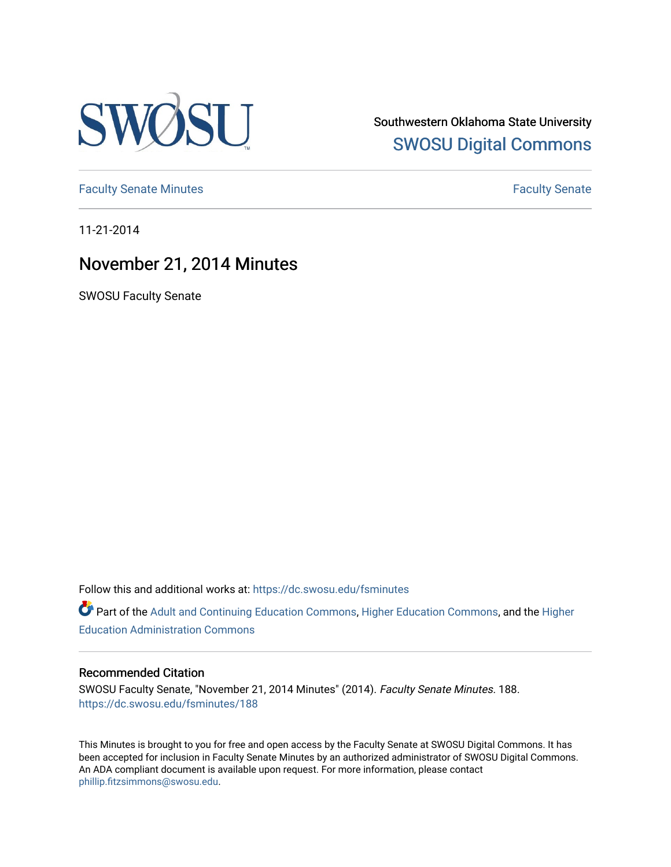

Southwestern Oklahoma State University [SWOSU Digital Commons](https://dc.swosu.edu/) 

[Faculty Senate Minutes](https://dc.swosu.edu/fsminutes) **Faculty** Senate Minutes

11-21-2014

# November 21, 2014 Minutes

SWOSU Faculty Senate

Follow this and additional works at: [https://dc.swosu.edu/fsminutes](https://dc.swosu.edu/fsminutes?utm_source=dc.swosu.edu%2Ffsminutes%2F188&utm_medium=PDF&utm_campaign=PDFCoverPages) 

Part of the [Adult and Continuing Education Commons,](http://network.bepress.com/hgg/discipline/1375?utm_source=dc.swosu.edu%2Ffsminutes%2F188&utm_medium=PDF&utm_campaign=PDFCoverPages) [Higher Education Commons,](http://network.bepress.com/hgg/discipline/1245?utm_source=dc.swosu.edu%2Ffsminutes%2F188&utm_medium=PDF&utm_campaign=PDFCoverPages) and the [Higher](http://network.bepress.com/hgg/discipline/791?utm_source=dc.swosu.edu%2Ffsminutes%2F188&utm_medium=PDF&utm_campaign=PDFCoverPages) [Education Administration Commons](http://network.bepress.com/hgg/discipline/791?utm_source=dc.swosu.edu%2Ffsminutes%2F188&utm_medium=PDF&utm_campaign=PDFCoverPages) 

#### Recommended Citation

SWOSU Faculty Senate, "November 21, 2014 Minutes" (2014). Faculty Senate Minutes. 188. [https://dc.swosu.edu/fsminutes/188](https://dc.swosu.edu/fsminutes/188?utm_source=dc.swosu.edu%2Ffsminutes%2F188&utm_medium=PDF&utm_campaign=PDFCoverPages) 

This Minutes is brought to you for free and open access by the Faculty Senate at SWOSU Digital Commons. It has been accepted for inclusion in Faculty Senate Minutes by an authorized administrator of SWOSU Digital Commons. An ADA compliant document is available upon request. For more information, please contact [phillip.fitzsimmons@swosu.edu](mailto:phillip.fitzsimmons@swosu.edu).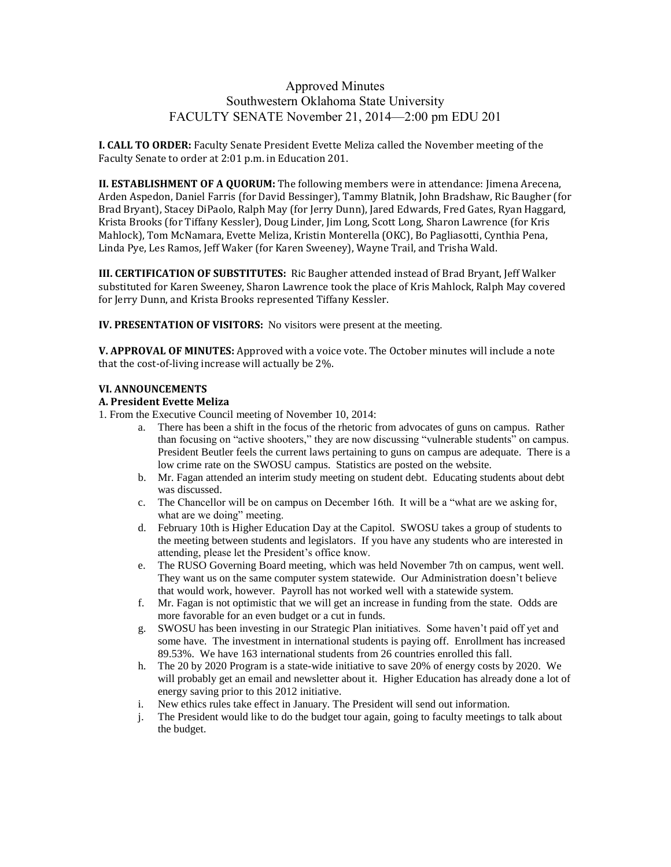## Approved Minutes Southwestern Oklahoma State University FACULTY SENATE November 21, 2014—2:00 pm EDU 201

**I. CALL TO ORDER:** Faculty Senate President Evette Meliza called the November meeting of the Faculty Senate to order at 2:01 p.m. in Education 201.

**II. ESTABLISHMENT OF A QUORUM:** The following members were in attendance: Jimena Arecena, Arden Aspedon, Daniel Farris (for David Bessinger), Tammy Blatnik, John Bradshaw, Ric Baugher (for Brad Bryant), Stacey DiPaolo, Ralph May (for Jerry Dunn), Jared Edwards, Fred Gates, Ryan Haggard, Krista Brooks (for Tiffany Kessler), Doug Linder, Jim Long, Scott Long, Sharon Lawrence (for Kris Mahlock), Tom McNamara, Evette Meliza, Kristin Monterella (OKC), Bo Pagliasotti, Cynthia Pena, Linda Pye, Les Ramos, Jeff Waker (for Karen Sweeney), Wayne Trail, and Trisha Wald.

**III. CERTIFICATION OF SUBSTITUTES:** Ric Baugher attended instead of Brad Bryant, Jeff Walker substituted for Karen Sweeney, Sharon Lawrence took the place of Kris Mahlock, Ralph May covered for Jerry Dunn, and Krista Brooks represented Tiffany Kessler.

**IV. PRESENTATION OF VISITORS:** No visitors were present at the meeting.

**V. APPROVAL OF MINUTES:** Approved with a voice vote. The October minutes will include a note that the cost-of-living increase will actually be 2%.

#### **VI. ANNOUNCEMENTS**

#### **A. President Evette Meliza**

1. From the Executive Council meeting of November 10, 2014:

- a. There has been a shift in the focus of the rhetoric from advocates of guns on campus. Rather than focusing on "active shooters," they are now discussing "vulnerable students" on campus. President Beutler feels the current laws pertaining to guns on campus are adequate. There is a low crime rate on the SWOSU campus. Statistics are posted on the website.
- b. Mr. Fagan attended an interim study meeting on student debt. Educating students about debt was discussed.
- c. The Chancellor will be on campus on December 16th. It will be a "what are we asking for, what are we doing" meeting.
- d. February 10th is Higher Education Day at the Capitol. SWOSU takes a group of students to the meeting between students and legislators. If you have any students who are interested in attending, please let the President's office know.
- e. The RUSO Governing Board meeting, which was held November 7th on campus, went well. They want us on the same computer system statewide. Our Administration doesn't believe that would work, however. Payroll has not worked well with a statewide system.
- f. Mr. Fagan is not optimistic that we will get an increase in funding from the state. Odds are more favorable for an even budget or a cut in funds.
- g. SWOSU has been investing in our Strategic Plan initiatives. Some haven't paid off yet and some have. The investment in international students is paying off. Enrollment has increased 89.53%. We have 163 international students from 26 countries enrolled this fall.
- h. The 20 by 2020 Program is a state-wide initiative to save 20% of energy costs by 2020. We will probably get an email and newsletter about it. Higher Education has already done a lot of energy saving prior to this 2012 initiative.
- i. New ethics rules take effect in January. The President will send out information.
- j. The President would like to do the budget tour again, going to faculty meetings to talk about the budget.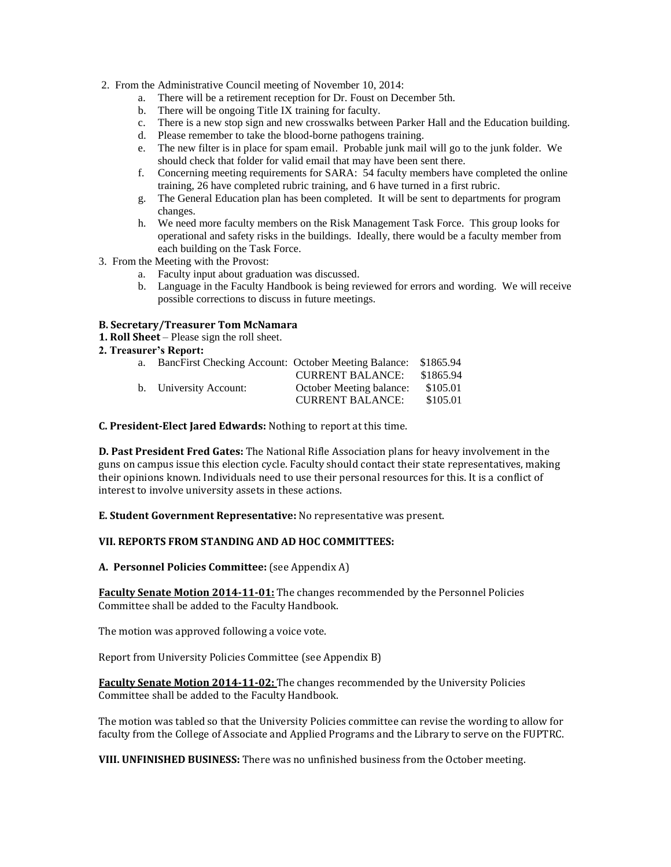- 2. From the Administrative Council meeting of November 10, 2014:
	- a. There will be a retirement reception for Dr. Foust on December 5th.
	- b. There will be ongoing Title IX training for faculty.
	- c. There is a new stop sign and new crosswalks between Parker Hall and the Education building.
	- d. Please remember to take the blood-borne pathogens training.
	- e. The new filter is in place for spam email. Probable junk mail will go to the junk folder. We should check that folder for valid email that may have been sent there.
	- f. Concerning meeting requirements for SARA: 54 faculty members have completed the online training, 26 have completed rubric training, and 6 have turned in a first rubric.
	- g. The General Education plan has been completed. It will be sent to departments for program changes.
	- h. We need more faculty members on the Risk Management Task Force. This group looks for operational and safety risks in the buildings. Ideally, there would be a faculty member from each building on the Task Force.
- 3. From the Meeting with the Provost:
	- a. Faculty input about graduation was discussed.
	- b. Language in the Faculty Handbook is being reviewed for errors and wording. We will receive possible corrections to discuss in future meetings.

#### **B. Secretary/Treasurer Tom McNamara**

**1. Roll Sheet** – Please sign the roll sheet.

#### **2. Treasurer's Report:**

| a. | BancFirst Checking Account: October Meeting Balance: \$1865.94 |                          |           |
|----|----------------------------------------------------------------|--------------------------|-----------|
|    |                                                                | <b>CURRENT BALANCE:</b>  | \$1865.94 |
|    | b. University Account:                                         | October Meeting balance: | \$105.01  |
|    |                                                                | <b>CURRENT BALANCE:</b>  | \$105.01  |

**C. President-Elect Jared Edwards:** Nothing to report at this time.

**D. Past President Fred Gates:** The National Rifle Association plans for heavy involvement in the guns on campus issue this election cycle. Faculty should contact their state representatives, making their opinions known. Individuals need to use their personal resources for this. It is a conflict of interest to involve university assets in these actions.

**E. Student Government Representative:** No representative was present.

## **VII. REPORTS FROM STANDING AND AD HOC COMMITTEES:**

**A. Personnel Policies Committee:** (see Appendix A)

**Faculty Senate Motion 2014-11-01:** The changes recommended by the Personnel Policies Committee shall be added to the Faculty Handbook.

The motion was approved following a voice vote.

Report from University Policies Committee (see Appendix B)

**Faculty Senate Motion 2014-11-02:** The changes recommended by the University Policies Committee shall be added to the Faculty Handbook.

The motion was tabled so that the University Policies committee can revise the wording to allow for faculty from the College of Associate and Applied Programs and the Library to serve on the FUPTRC.

**VIII. UNFINISHED BUSINESS:** There was no unfinished business from the October meeting.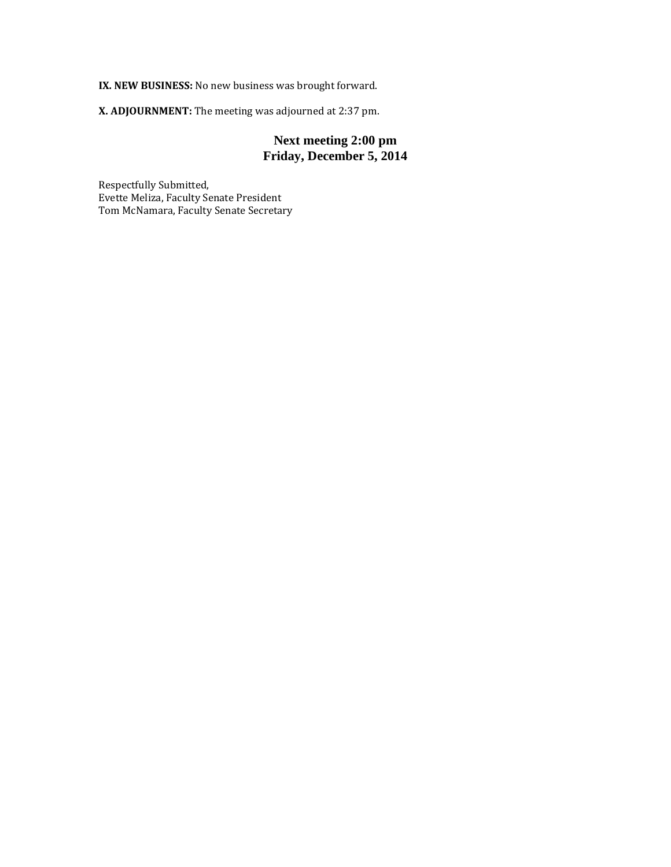**IX. NEW BUSINESS:** No new business was brought forward.

**X. ADJOURNMENT:** The meeting was adjourned at 2:37 pm.

## **Next meeting 2:00 pm Friday, December 5, 2014**

Respectfully Submitted, Evette Meliza, Faculty Senate President Tom McNamara, Faculty Senate Secretary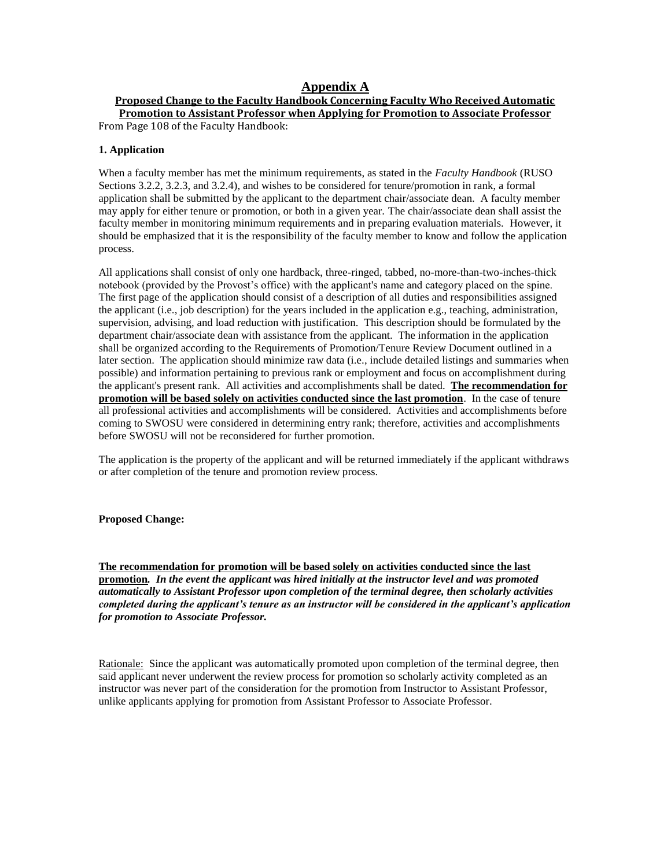## **Appendix A**

**Proposed Change to the Faculty Handbook Concerning Faculty Who Received Automatic Promotion to Assistant Professor when Applying for Promotion to Associate Professor** From Page 108 of the Faculty Handbook:

#### **1. Application**

When a faculty member has met the minimum requirements, as stated in the *Faculty Handbook* (RUSO Sections 3.2.2, 3.2.3, and 3.2.4), and wishes to be considered for tenure/promotion in rank, a formal application shall be submitted by the applicant to the department chair/associate dean. A faculty member may apply for either tenure or promotion, or both in a given year. The chair/associate dean shall assist the faculty member in monitoring minimum requirements and in preparing evaluation materials.However, it should be emphasized that it is the responsibility of the faculty member to know and follow the application process.

All applications shall consist of only one hardback, three-ringed, tabbed, no-more-than-two-inches-thick notebook (provided by the Provost's office) with the applicant's name and category placed on the spine. The first page of the application should consist of a description of all duties and responsibilities assigned the applicant (i.e., job description) for the years included in the application e.g., teaching, administration, supervision, advising, and load reduction with justification. This description should be formulated by the department chair/associate dean with assistance from the applicant. The information in the application shall be organized according to the Requirements of Promotion/Tenure Review Document outlined in a later section. The application should minimize raw data (i.e., include detailed listings and summaries when possible) and information pertaining to previous rank or employment and focus on accomplishment during the applicant's present rank. All activities and accomplishments shall be dated. **The recommendation for promotion will be based solely on activities conducted since the last promotion**. In the case of tenure all professional activities and accomplishments will be considered. Activities and accomplishments before coming to SWOSU were considered in determining entry rank; therefore, activities and accomplishments before SWOSU will not be reconsidered for further promotion.

The application is the property of the applicant and will be returned immediately if the applicant withdraws or after completion of the tenure and promotion review process.

#### **Proposed Change:**

**The recommendation for promotion will be based solely on activities conducted since the last promotion***. In the event the applicant was hired initially at the instructor level and was promoted automatically to Assistant Professor upon completion of the terminal degree, then scholarly activities completed during the applicant's tenure as an instructor will be considered in the applicant's application for promotion to Associate Professor.*

Rationale: Since the applicant was automatically promoted upon completion of the terminal degree, then said applicant never underwent the review process for promotion so scholarly activity completed as an instructor was never part of the consideration for the promotion from Instructor to Assistant Professor, unlike applicants applying for promotion from Assistant Professor to Associate Professor.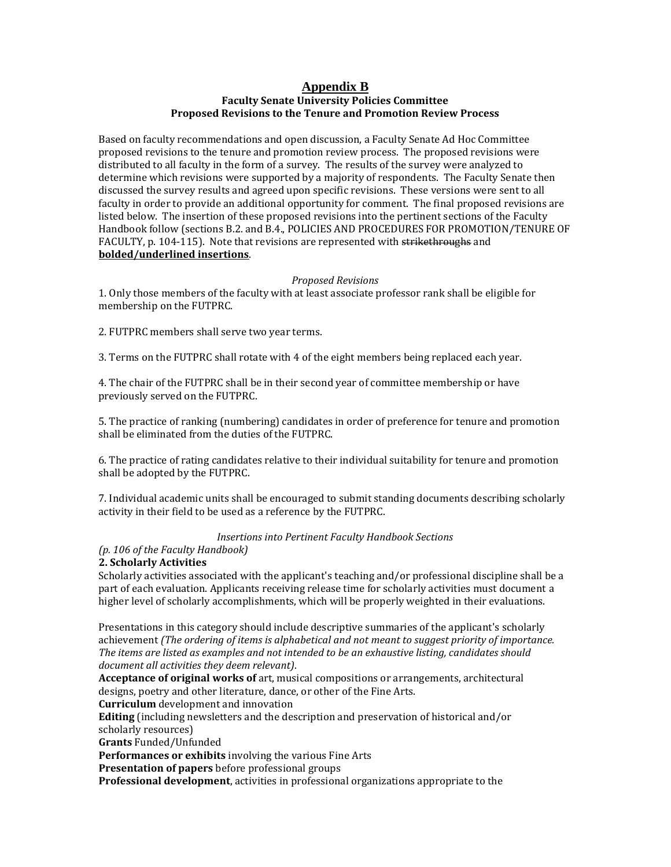#### **Appendix B Faculty Senate University Policies Committee Proposed Revisions to the Tenure and Promotion Review Process**

Based on faculty recommendations and open discussion, a Faculty Senate Ad Hoc Committee proposed revisions to the tenure and promotion review process. The proposed revisions were distributed to all faculty in the form of a survey. The results of the survey were analyzed to determine which revisions were supported by a majority of respondents. The Faculty Senate then discussed the survey results and agreed upon specific revisions. These versions were sent to all faculty in order to provide an additional opportunity for comment. The final proposed revisions are listed below. The insertion of these proposed revisions into the pertinent sections of the Faculty Handbook follow (sections B.2. and B.4., POLICIES AND PROCEDURES FOR PROMOTION/TENURE OF FACULTY, p. 104-115). Note that revisions are represented with strikethroughs and **bolded/underlined insertions**.

### *Proposed Revisions*

1. Only those members of the faculty with at least associate professor rank shall be eligible for membership on the FUTPRC.

2. FUTPRC members shall serve two year terms.

3. Terms on the FUTPRC shall rotate with 4 of the eight members being replaced each year.

4. The chair of the FUTPRC shall be in their second year of committee membership or have previously served on the FUTPRC.

5. The practice of ranking (numbering) candidates in order of preference for tenure and promotion shall be eliminated from the duties of the FUTPRC.

6. The practice of rating candidates relative to their individual suitability for tenure and promotion shall be adopted by the FUTPRC.

7. Individual academic units shall be encouraged to submit standing documents describing scholarly activity in their field to be used as a reference by the FUTPRC.

#### *Insertions into Pertinent Faculty Handbook Sections*

## *(p. 106 of the Faculty Handbook)*

#### **2. Scholarly Activities**

Scholarly activities associated with the applicant's teaching and/or professional discipline shall be a part of each evaluation. Applicants receiving release time for scholarly activities must document a higher level of scholarly accomplishments, which will be properly weighted in their evaluations.

Presentations in this category should include descriptive summaries of the applicant's scholarly achievement *(The ordering of items is alphabetical and not meant to suggest priority of importance. The items are listed as examples and not intended to be an exhaustive listing, candidates should document all activities they deem relevant)*.

**Acceptance of original works of** art, musical compositions or arrangements, architectural designs, poetry and other literature, dance, or other of the Fine Arts.

**Curriculum** development and innovation

**Editing** (including newsletters and the description and preservation of historical and/or scholarly resources)

**Grants** Funded/Unfunded

**Performances or exhibits** involving the various Fine Arts

**Presentation of papers** before professional groups

**Professional development**, activities in professional organizations appropriate to the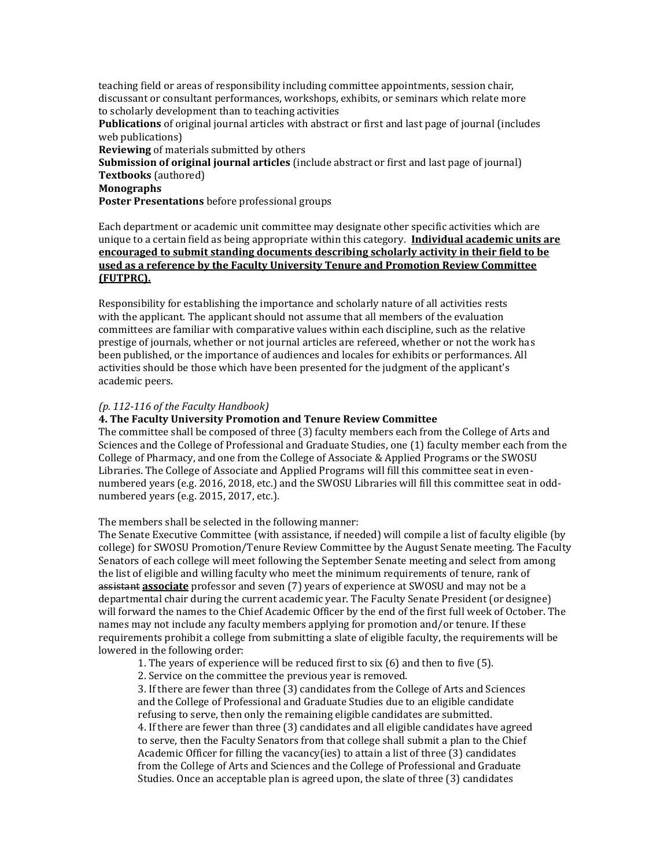teaching field or areas of responsibility including committee appointments, session chair, discussant or consultant performances, workshops, exhibits, or seminars which relate more to scholarly development than to teaching activities **Publications** of original journal articles with abstract or first and last page of journal (includes web publications) **Reviewing** of materials submitted by others **Submission of original journal articles** (include abstract or first and last page of journal) **Textbooks** (authored) **Monographs**

**Poster Presentations** before professional groups

Each department or academic unit committee may designate other specific activities which are unique to a certain field as being appropriate within this category. **Individual academic units are encouraged to submit standing documents describing scholarly activity in their field to be used as a reference by the Faculty University Tenure and Promotion Review Committee (FUTPRC).**

Responsibility for establishing the importance and scholarly nature of all activities rests with the applicant. The applicant should not assume that all members of the evaluation committees are familiar with comparative values within each discipline, such as the relative prestige of journals, whether or not journal articles are refereed, whether or not the work has been published, or the importance of audiences and locales for exhibits or performances. All activities should be those which have been presented for the judgment of the applicant's academic peers.

#### *(p. 112-116 of the Faculty Handbook)*

#### **4. The Faculty University Promotion and Tenure Review Committee**

The committee shall be composed of three (3) faculty members each from the College of Arts and Sciences and the College of Professional and Graduate Studies, one (1) faculty member each from the College of Pharmacy, and one from the College of Associate & Applied Programs or the SWOSU Libraries. The College of Associate and Applied Programs will fill this committee seat in evennumbered years (e.g. 2016, 2018, etc.) and the SWOSU Libraries will fill this committee seat in oddnumbered years (e.g. 2015, 2017, etc.).

The members shall be selected in the following manner:

The Senate Executive Committee (with assistance, if needed) will compile a list of faculty eligible (by college) for SWOSU Promotion/Tenure Review Committee by the August Senate meeting. The Faculty Senators of each college will meet following the September Senate meeting and select from among the list of eligible and willing faculty who meet the minimum requirements of tenure, rank of assistant **associate** professor and seven (7) years of experience at SWOSU and may not be a departmental chair during the current academic year. The Faculty Senate President (or designee) will forward the names to the Chief Academic Officer by the end of the first full week of October. The names may not include any faculty members applying for promotion and/or tenure. If these requirements prohibit a college from submitting a slate of eligible faculty, the requirements will be lowered in the following order:

1. The years of experience will be reduced first to six (6) and then to five (5).

2. Service on the committee the previous year is removed.

3. If there are fewer than three (3) candidates from the College of Arts and Sciences and the College of Professional and Graduate Studies due to an eligible candidate refusing to serve, then only the remaining eligible candidates are submitted. 4. If there are fewer than three (3) candidates and all eligible candidates have agreed to serve, then the Faculty Senators from that college shall submit a plan to the Chief Academic Officer for filling the vacancy(ies) to attain a list of three (3) candidates from the College of Arts and Sciences and the College of Professional and Graduate Studies. Once an acceptable plan is agreed upon, the slate of three (3) candidates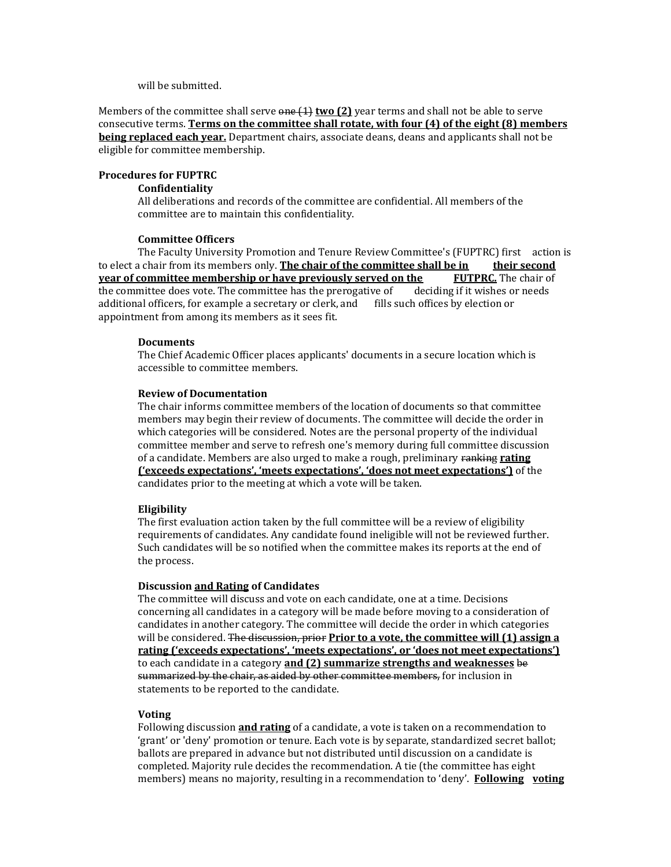will be submitted.

Members of the committee shall serve one (1) **two (2)** year terms and shall not be able to serve consecutive terms. **Terms on the committee shall rotate, with four (4) of the eight (8) members being replaced each year.** Department chairs, associate deans, deans and applicants shall not be eligible for committee membership.

#### **Procedures for FUPTRC**

#### **Confidentiality**

All deliberations and records of the committee are confidential. All members of the committee are to maintain this confidentiality.

#### **Committee Officers**

The Faculty University Promotion and Tenure Review Committee's (FUPTRC) first action is to elect a chair from its members only. **The chair of the committee shall be in their second year of committee membership or have previously served on the** the committee does vote. The committee has the prerogative of deciding if it wishes or needs additional officers, for example a secretary or clerk, and fills such offices by election or appointment from among its members as it sees fit.

#### **Documents**

The Chief Academic Officer places applicants' documents in a secure location which is accessible to committee members.

#### **Review of Documentation**

The chair informs committee members of the location of documents so that committee members may begin their review of documents. The committee will decide the order in which categories will be considered. Notes are the personal property of the individual committee member and serve to refresh one's memory during full committee discussion of a candidate. Members are also urged to make a rough, preliminary ranking **rating ('exceeds expectations', 'meets expectations', 'does not meet expectations')** of the candidates prior to the meeting at which a vote will be taken.

#### **Eligibility**

The first evaluation action taken by the full committee will be a review of eligibility requirements of candidates. Any candidate found ineligible will not be reviewed further. Such candidates will be so notified when the committee makes its reports at the end of the process.

#### **Discussion and Rating of Candidates**

The committee will discuss and vote on each candidate, one at a time. Decisions concerning all candidates in a category will be made before moving to a consideration of candidates in another category. The committee will decide the order in which categories will be considered. The discussion, prior **Prior to a vote, the committee will (1) assign a rating ('exceeds expectations', 'meets expectations', or 'does not meet expectations')**  to each candidate in a category **and (2) summarize strengths and weaknesses** be summarized by the chair, as aided by other committee members, for inclusion in statements to be reported to the candidate.

#### **Voting**

Following discussion **and rating** of a candidate, a vote is taken on a recommendation to 'grant' or 'deny' promotion or tenure. Each vote is by separate, standardized secret ballot; ballots are prepared in advance but not distributed until discussion on a candidate is completed. Majority rule decides the recommendation. A tie (the committee has eight members) means no majority, resulting in a recommendation to 'deny'. **Following voting**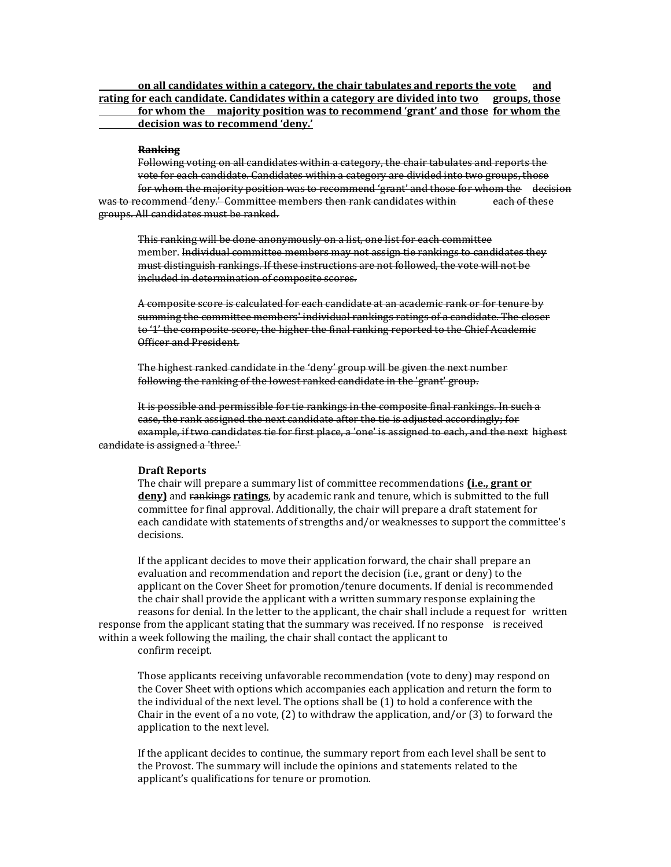**on all candidates within a category, the chair tabulates and reports the vote and rating for each candidate. Candidates within a category are divided into two groups, those for whom the majority position was to recommend 'grant' and those for whom the decision was to recommend 'deny.'**

#### **Ranking**

Following voting on all candidates within a category, the chair tabulates and reports the vote for each candidate. Candidates within a category are divided into two groups, those for whom the majority position was to recommend 'grant' and those for whom the decision was to recommend 'deny.' Committee members then rank candidates within each of these groups. All candidates must be ranked.

This ranking will be done anonymously on a list, one list for each committee member. Individual committee members may not assign tie rankings to candidates they must distinguish rankings. If these instructions are not followed, the vote will not be included in determination of composite scores.

A composite score is calculated for each candidate at an academic rank or for tenure by summing the committee members' individual rankings ratings of a candidate. The closer to '1' the composite score, the higher the final ranking reported to the Chief Academic Officer and President.

The highest ranked candidate in the 'deny' group will be given the next number following the ranking of the lowest ranked candidate in the 'grant' group.

It is possible and permissible for tie rankings in the composite final rankings. In such a case, the rank assigned the next candidate after the tie is adjusted accordingly; for example, if two candidates tie for first place, a 'one' is assigned to each, and the next highest candidate is assigned a 'three.'

#### **Draft Reports**

The chair will prepare a summary list of committee recommendations **(i.e., grant or deny)** and rankings **ratings**, by academic rank and tenure, which is submitted to the full committee for final approval. Additionally, the chair will prepare a draft statement for each candidate with statements of strengths and/or weaknesses to support the committee's decisions.

If the applicant decides to move their application forward, the chair shall prepare an evaluation and recommendation and report the decision (i.e., grant or deny) to the applicant on the Cover Sheet for promotion/tenure documents. If denial is recommended the chair shall provide the applicant with a written summary response explaining the reasons for denial. In the letter to the applicant, the chair shall include a request for written response from the applicant stating that the summary was received. If no response is received within a week following the mailing, the chair shall contact the applicant to

confirm receipt.

Those applicants receiving unfavorable recommendation (vote to deny) may respond on the Cover Sheet with options which accompanies each application and return the form to the individual of the next level. The options shall be (1) to hold a conference with the Chair in the event of a no vote,  $(2)$  to withdraw the application, and/or  $(3)$  to forward the application to the next level.

If the applicant decides to continue, the summary report from each level shall be sent to the Provost. The summary will include the opinions and statements related to the applicant's qualifications for tenure or promotion.